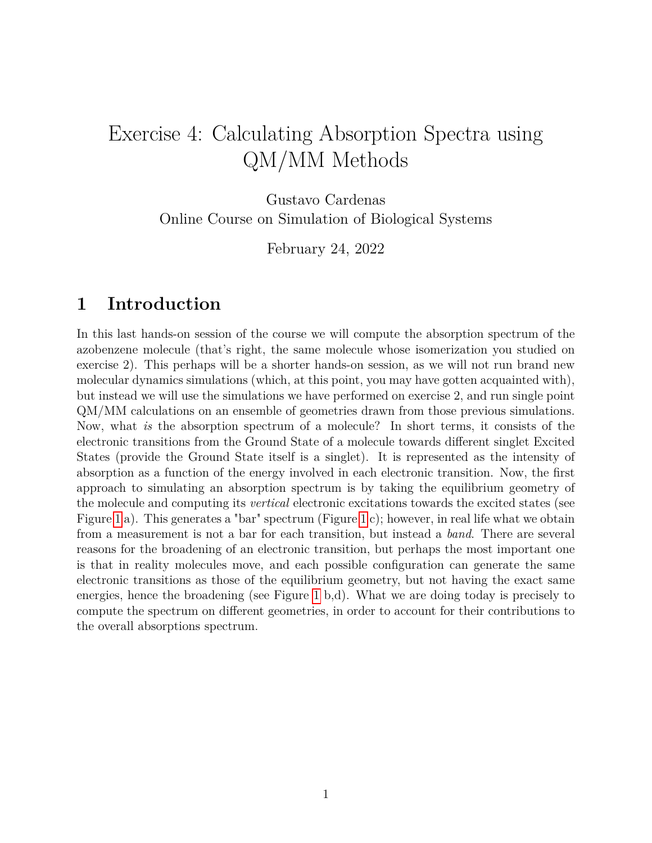# Exercise 4: Calculating Absorption Spectra using QM/MM Methods

Gustavo Cardenas Online Course on Simulation of Biological Systems

February 24, 2022

## **1 Introduction**

In this last hands-on session of the course we will compute the absorption spectrum of the azobenzene molecule (that's right, the same molecule whose isomerization you studied on exercise 2). This perhaps will be a shorter hands-on session, as we will not run brand new molecular dynamics simulations (which, at this point, you may have gotten acquainted with), but instead we will use the simulations we have performed on exercise 2, and run single point QM/MM calculations on an ensemble of geometries drawn from those previous simulations. Now, what *is* the absorption spectrum of a molecule? In short terms, it consists of the electronic transitions from the Ground State of a molecule towards different singlet Excited States (provide the Ground State itself is a singlet). It is represented as the intensity of absorption as a function of the energy involved in each electronic transition. Now, the first approach to simulating an absorption spectrum is by taking the equilibrium geometry of the molecule and computing its *vertical* electronic excitations towards the excited states (see Figure [1](#page-1-0) a). This generates a "bar" spectrum (Figure [1](#page-1-0) c); however, in real life what we obtain from a measurement is not a bar for each transition, but instead a *band*. There are several reasons for the broadening of an electronic transition, but perhaps the most important one is that in reality molecules move, and each possible configuration can generate the same electronic transitions as those of the equilibrium geometry, but not having the exact same energies, hence the broadening (see Figure [1](#page-1-0) b,d). What we are doing today is precisely to compute the spectrum on different geometries, in order to account for their contributions to the overall absorptions spectrum.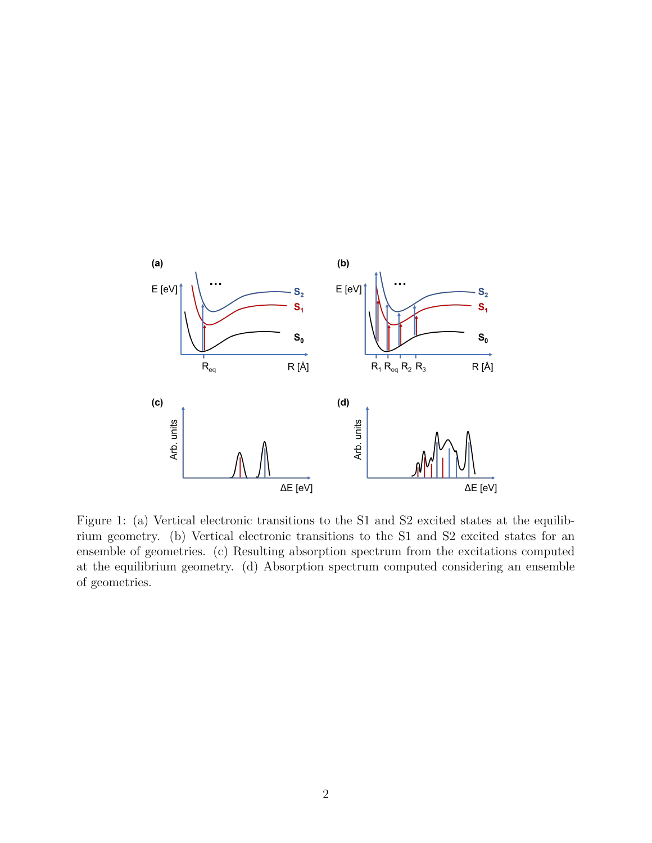

<span id="page-1-0"></span>Figure 1: (a) Vertical electronic transitions to the S1 and S2 excited states at the equilibrium geometry. (b) Vertical electronic transitions to the S1 and S2 excited states for an ensemble of geometries. (c) Resulting absorption spectrum from the excitations computed at the equilibrium geometry. (d) Absorption spectrum computed considering an ensemble of geometries.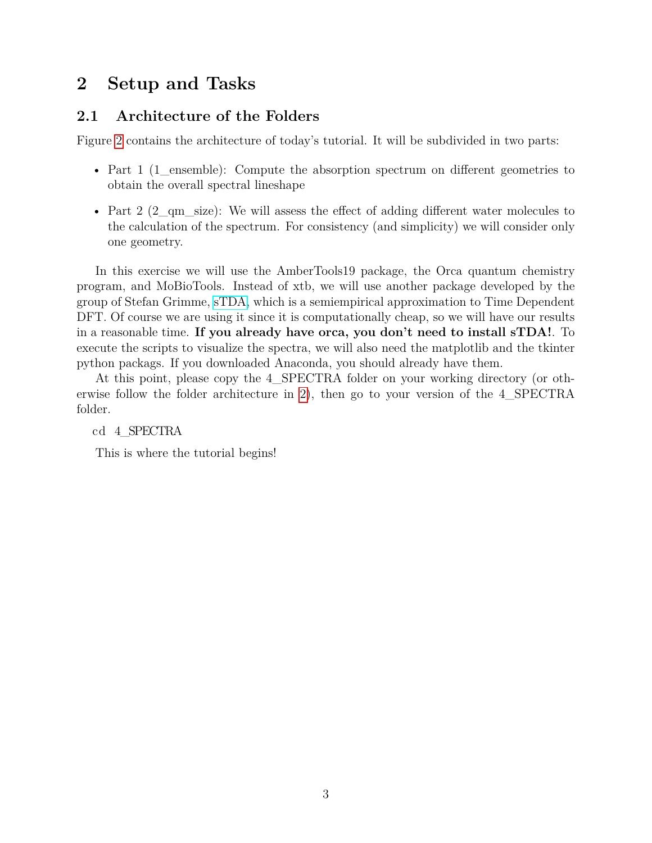# **2 Setup and Tasks**

### **2.1 Architecture of the Folders**

Figure [2](#page-3-0) contains the architecture of today's tutorial. It will be subdivided in two parts:

- Part 1 (1\_ensemble): Compute the absorption spectrum on different geometries to obtain the overall spectral lineshape
- Part 2 (2\_qm\_size): We will assess the effect of adding different water molecules to the calculation of the spectrum. For consistency (and simplicity) we will consider only one geometry.

In this exercise we will use the AmberTools19 package, the Orca quantum chemistry program, and MoBioTools. Instead of xtb, we will use another package developed by the group of Stefan Grimme, [sTDA,](https://github.com/grimme-lab/stda) which is a semiempirical approximation to Time Dependent DFT. Of course we are using it since it is computationally cheap, so we will have our results in a reasonable time. **If you already have orca, you don't need to install sTDA!**. To execute the scripts to visualize the spectra, we will also need the matplotlib and the tkinter python packags. If you downloaded Anaconda, you should already have them.

At this point, please copy the 4\_SPECTRA folder on your working directory (or otherwise follow the folder architecture in [2\)](#page-3-0), then go to your version of the 4\_SPECTRA folder.

#### cd 4\_SPECTRA

This is where the tutorial begins!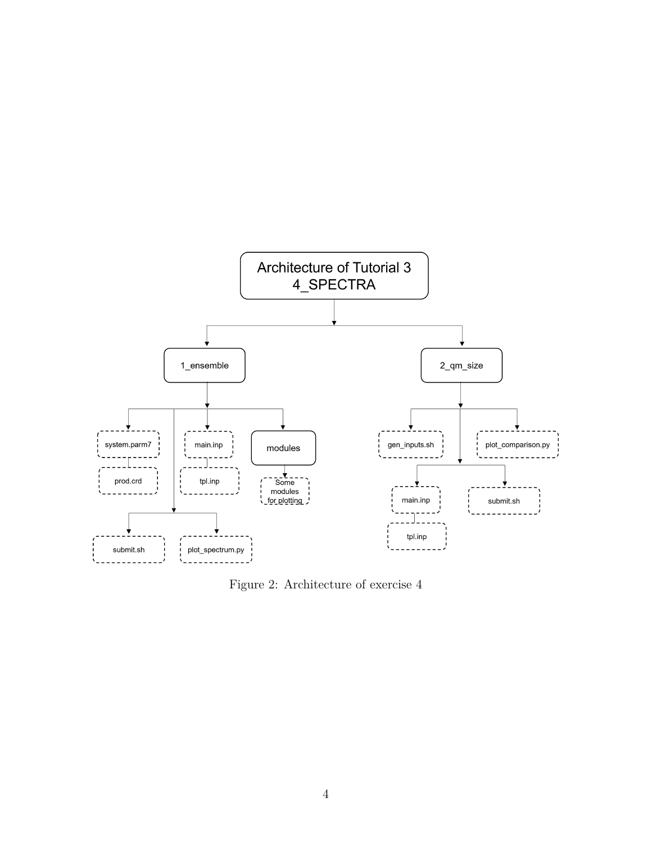

<span id="page-3-0"></span>Figure 2: Architecture of exercise 4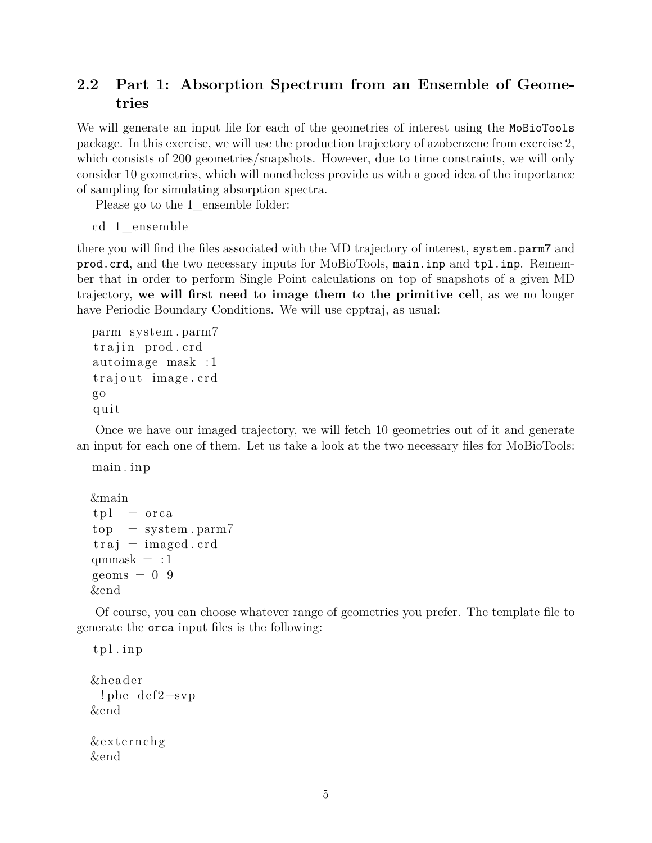### **2.2 Part 1: Absorption Spectrum from an Ensemble of Geometries**

We will generate an input file for each of the geometries of interest using the MoBioTools package. In this exercise, we will use the production trajectory of azobenzene from exercise 2, which consists of 200 geometries/snapshots. However, due to time constraints, we will only consider 10 geometries, which will nonetheless provide us with a good idea of the importance of sampling for simulating absorption spectra.

Please go to the 1 ensemble folder:

```
cd 1_ensemble
```
there you will find the files associated with the MD trajectory of interest, system.parm7 and prod.crd, and the two necessary inputs for MoBioTools, main.inp and tpl.inp. Remember that in order to perform Single Point calculations on top of snapshots of a given MD trajectory, **we will first need to image them to the primitive cell**, as we no longer have Periodic Boundary Conditions. We will use cpptraj, as usual:

```
parm system . parm7
trajin prod.crd
autoimage mask : 1
trajout image.crd
go
q ui t
```
Once we have our imaged trajectory, we will fetch 10 geometries out of it and generate an input for each one of them. Let us take a look at the two necessary files for MoBioTools:

main . inp

```
&main
tpl = orcatop = system . \, \text{param}7traj = imaged. crdqmmask = :1geoms = 0.9&end
```
Of course, you can choose whatever range of geometries you prefer. The template file to generate the orca input files is the following:

 $tpl$ . inp &heade r ! pbe def2−svp &end &e x t e r n c hg

&end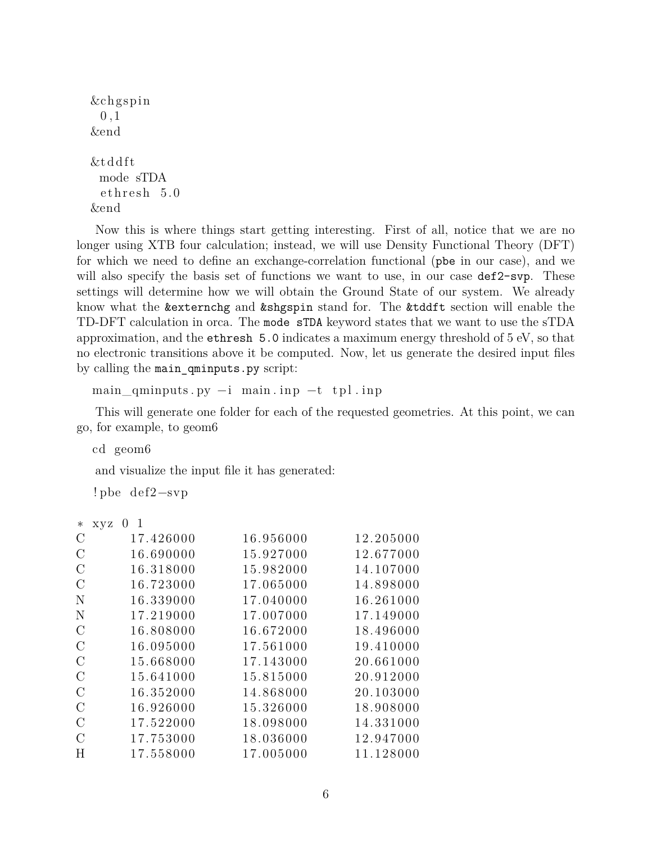```
&chgspin
 0 ,1
&end
&t d d f t
 mode sTDA
 ethresh 5.0
&end
```
Now this is where things start getting interesting. First of all, notice that we are no longer using XTB four calculation; instead, we will use Density Functional Theory (DFT) for which we need to define an exchange-correlation functional (pbe in our case), and we will also specify the basis set of functions we want to use, in our case  $def2-svp$ . These settings will determine how we will obtain the Ground State of our system. We already know what the &externchg and &shgspin stand for. The &tddft section will enable the TD-DFT calculation in orca. The mode sTDA keyword states that we want to use the sTDA approximation, and the ethresh 5.0 indicates a maximum energy threshold of 5 eV, so that no electronic transitions above it be computed. Now, let us generate the desired input files by calling the main\_qminputs.py script:

 $\text{main\_qminputs}$  . py  $-i$  main . inp  $-t$  tpl . inp

This will generate one folder for each of the requested geometries. At this point, we can go, for example, to geom6

cd geom6

and visualize the input file it has generated:

! pbe def2−svp

| ∗             | -1<br>$\cup$<br>xyz |           |           |
|---------------|---------------------|-----------|-----------|
| $\rm C$       | 17.426000           | 16.956000 | 12.205000 |
| $\mathcal{C}$ | 16.690000           | 15.927000 | 12.677000 |
| $\rm C$       | 16.318000           | 15.982000 | 14.107000 |
| $\rm C$       | 16.723000           | 17.065000 | 14.898000 |
| N             | 16.339000           | 17.040000 | 16.261000 |
| N             | 17.219000           | 17.007000 | 17.149000 |
| $\rm C$       | 16.808000           | 16.672000 | 18.496000 |
| $\rm C$       | 16.095000           | 17.561000 | 19.410000 |
| $\rm C$       | 15.668000           | 17.143000 | 20.661000 |
| $\rm C$       | 15.641000           | 15.815000 | 20.912000 |
| $\rm C$       | 16.352000           | 14.868000 | 20.103000 |
| $\mathcal{C}$ | 16.926000           | 15.326000 | 18.908000 |
| $\rm C$       | 17.522000           | 18.098000 | 14.331000 |
| $\rm C$       | 17.753000           | 18.036000 | 12.947000 |
| H             | 17.558000           | 17.005000 | 11.128000 |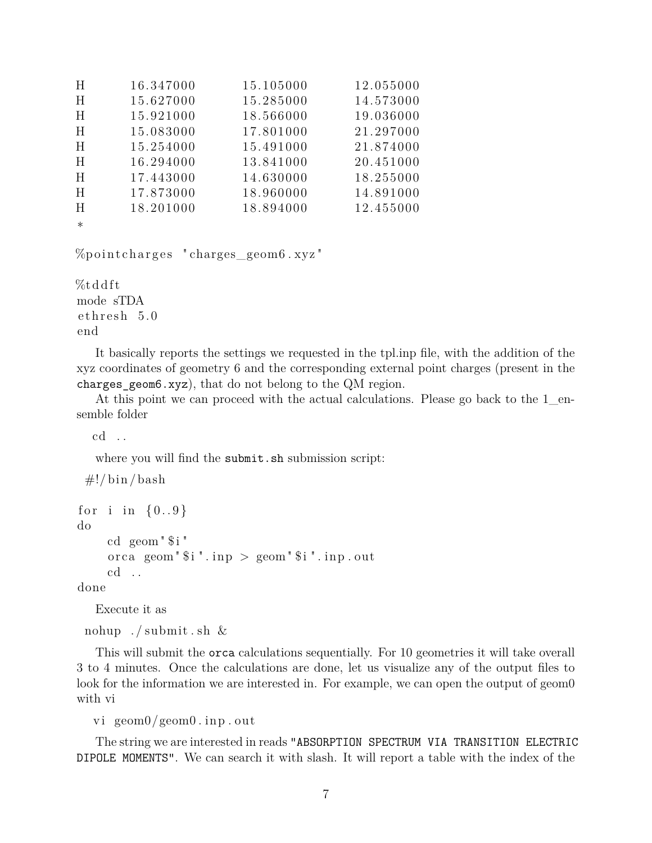| H      | 16.347000 | 15.105000 | 12.055000 |
|--------|-----------|-----------|-----------|
| H      | 15.627000 | 15.285000 | 14.573000 |
| H      | 15.921000 | 18.566000 | 19.036000 |
| H      | 15.083000 | 17.801000 | 21.297000 |
| H      | 15.254000 | 15.491000 | 21.874000 |
| H      | 16.294000 | 13.841000 | 20.451000 |
| H      | 17.443000 | 14.630000 | 18.255000 |
| H      | 17.873000 | 18.960000 | 14.891000 |
| H      | 18.201000 | 18.894000 | 12.455000 |
| $\ast$ |           |           |           |

 $\%$ pointcharges "charges\_geom6.xyz"

 $% t d f t$ mode sTDA ethresh 5.0 end

It basically reports the settings we requested in the tpl.inp file, with the addition of the xyz coordinates of geometry 6 and the corresponding external point charges (present in the charges geom6.xyz), that do not belong to the  $QM$  region.

At this point we can proceed with the actual calculations. Please go back to the 1\_ensemble folder

cd . .

where you will find the submit.sh submission script:

```
\#!/ \text{bin}/\text{bash}
```

```
for i in {0..9}do
     cd \text{ geom} \$i "
     orca geom "i". inp > geom "i". inp. out
     cd \dots
```
done

Execute it as

nohup . / submit . sh &

This will submit the orca calculations sequentially. For 10 geometries it will take overall 3 to 4 minutes. Once the calculations are done, let us visualize any of the output files to look for the information we are interested in. For example, we can open the output of geom0 with vi

vi geom0/geom0 . inp . out

The string we are interested in reads "ABSORPTION SPECTRUM VIA TRANSITION ELECTRIC DIPOLE MOMENTS". We can search it with slash. It will report a table with the index of the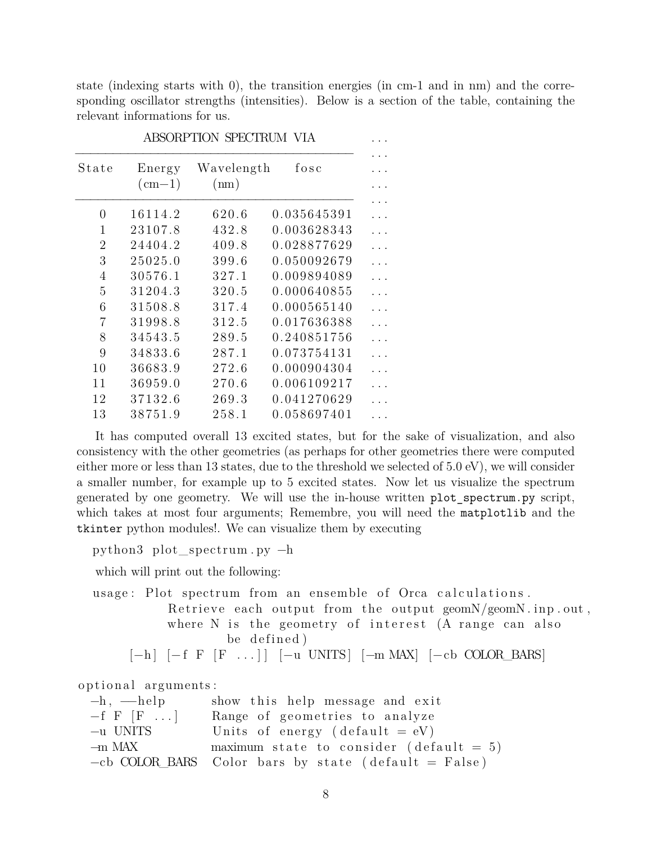state (indexing starts with 0), the transition energies (in cm-1 and in nm) and the corresponding oscillator strengths (intensities). Below is a section of the table, containing the relevant informations for us.

| ABSORPTION SPECTRUM VIA |  |  |  |  |  |  |
|-------------------------|--|--|--|--|--|--|
|-------------------------|--|--|--|--|--|--|

| State          | Energy         | Wavelength | fosc        |
|----------------|----------------|------------|-------------|
|                | $\text{cm}-1)$ | (m)        |             |
| $\overline{0}$ | 16114.2        | 620.6      | 0.035645391 |
| $\mathbf{1}$   | 23107.8        | 432.8      | 0.003628343 |
| $\overline{2}$ | 24404.2        | 409.8      | 0.028877629 |
| 3              | 25025.0        | 399.6      | 0.050092679 |
| 4              | 30576.1        | 327.1      | 0.009894089 |
| 5              | 31204.3        | 320.5      | 0.000640855 |
| 6              | 31508.8        | 317.4      | 0.000565140 |
| 7              | 31998.8        | 312.5      | 0.017636388 |
| 8              | 34543.5        | 289.5      | 0.240851756 |
| 9              | 34833.6        | 287.1      | 0.073754131 |
| 10             | 36683.9        | 272.6      | 0.000904304 |
| 11             | 36959.0        | 270.6      | 0.006109217 |
| 12             | 37132.6        | 269.3      | 0.041270629 |
| 13             | 38751.9        | 258.1      | 0.058697401 |

It has computed overall 13 excited states, but for the sake of visualization, and also consistency with the other geometries (as perhaps for other geometries there were computed either more or less than 13 states, due to the threshold we selected of 5.0 eV), we will consider a smaller number, for example up to 5 excited states. Now let us visualize the spectrum generated by one geometry. We will use the in-house written plot\_spectrum.py script, which takes at most four arguments; Remembre, you will need the matplotlib and the tkinter python modules!. We can visualize them by executing

python3 plot\_spectrum . py −h

which will print out the following:

usage: Plot spectrum from an ensemble of Orca calculations. Retrieve each output from the output  $\gamma$  geomN/geomN. inp. out, where N is the geometry of interest  $(A \text{ range can also})$ be defined) [−h ] [− f F [ F . . . ] ] [−u UNITS] [−m MAX] [−cb COLOR\_BARS]

optional arguments:

| $-h$ , $-\text{help}$ | show this help message and exit                        |
|-----------------------|--------------------------------------------------------|
| $-f \ F [F \dots]$    | Range of geometries to analyze                         |
| -u UNITS              | Units of energy (default $= eV$ )                      |
| ⊣m MAX                | maximum state to consider (default $= 5$ )             |
|                       | $-cb$ COLOR_BARS Color bars by state (default = False) |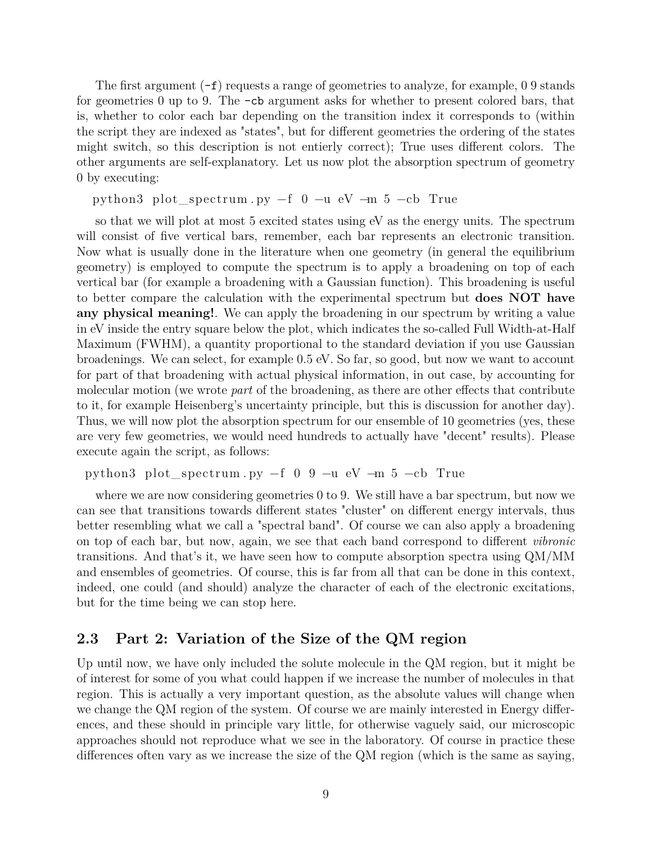The first argument  $(-f)$  requests a range of geometries to analyze, for example, 0 9 stands for geometries 0 up to 9. The -cb argument asks for whether to present colored bars, that is, whether to color each bar depending on the transition index it corresponds to (within the script they are indexed as "states", but for different geometries the ordering of the states might switch, so this description is not entierly correct); True uses different colors. The other arguments are self-explanatory. Let us now plot the absorption spectrum of geometry 0 by executing:

python3 plot\_spectrum . py −f 0 −u eV −m 5 −cb True

so that we will plot at most 5 excited states using eV as the energy units. The spectrum will consist of five vertical bars, remember, each bar represents an electronic transition. Now what is usually done in the literature when one geometry (in general the equilibrium geometry) is employed to compute the spectrum is to apply a broadening on top of each vertical bar (for example a broadening with a Gaussian function). This broadening is useful to better compare the calculation with the experimental spectrum but **does NOT have any physical meaning!**. We can apply the broadening in our spectrum by writing a value in eV inside the entry square below the plot, which indicates the so-called Full Width-at-Half Maximum (FWHM), a quantity proportional to the standard deviation if you use Gaussian broadenings. We can select, for example 0.5 eV. So far, so good, but now we want to account for part of that broadening with actual physical information, in out case, by accounting for molecular motion (we wrote *part* of the broadening, as there are other effects that contribute to it, for example Heisenberg's uncertainty principle, but this is discussion for another day). Thus, we will now plot the absorption spectrum for our ensemble of 10 geometries (yes, these are very few geometries, we would need hundreds to actually have "decent" results). Please execute again the script, as follows:

```
python3 plot_spectrum . py -f 0 9 -u eV -m 5 -cb True
```
where we are now considering geometries 0 to 9. We still have a bar spectrum, but now we can see that transitions towards different states "cluster" on different energy intervals, thus better resembling what we call a "spectral band". Of course we can also apply a broadening on top of each bar, but now, again, we see that each band correspond to different *vibronic* transitions. And that's it, we have seen how to compute absorption spectra using QM*/*MM and ensembles of geometries. Of course, this is far from all that can be done in this context, indeed, one could (and should) analyze the character of each of the electronic excitations, but for the time being we can stop here.

#### **2.3 Part 2: Variation of the Size of the QM region**

Up until now, we have only included the solute molecule in the QM region, but it might be of interest for some of you what could happen if we increase the number of molecules in that region. This is actually a very important question, as the absolute values will change when we change the QM region of the system. Of course we are mainly interested in Energy differences, and these should in principle vary little, for otherwise vaguely said, our microscopic approaches should not reproduce what we see in the laboratory. Of course in practice these differences often vary as we increase the size of the QM region (which is the same as saying,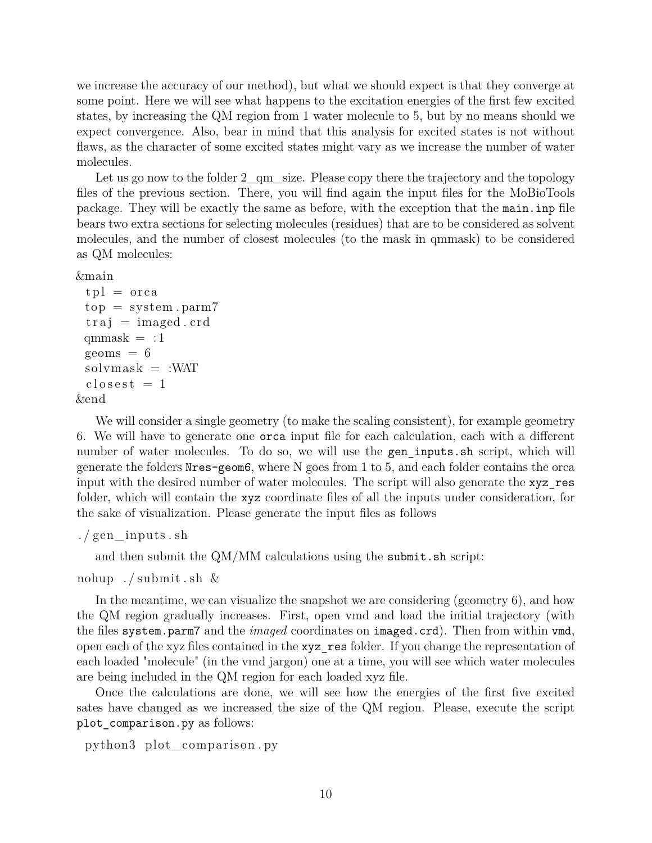we increase the accuracy of our method), but what we should expect is that they converge at some point. Here we will see what happens to the excitation energies of the first few excited states, by increasing the QM region from 1 water molecule to 5, but by no means should we expect convergence. Also, bear in mind that this analysis for excited states is not without flaws, as the character of some excited states might vary as we increase the number of water molecules.

Let us go now to the folder 2\_qm\_size. Please copy there the trajectory and the topology files of the previous section. There, you will find again the input files for the MoBioTools package. They will be exactly the same as before, with the exception that the main.inp file bears two extra sections for selecting molecules (residues) that are to be considered as solvent molecules, and the number of closest molecules (to the mask in qmmask) to be considered as QM molecules:

#### &main

```
tpl = orcatop = system . param7trai = imaged. crdqmmask = :1geoms = 6solvmask = :WAT\text{closest} = 1&end
```
We will consider a single geometry (to make the scaling consistent), for example geometry 6. We will have to generate one orca input file for each calculation, each with a different number of water molecules. To do so, we will use the gen\_inputs.sh script, which will generate the folders Nres-geom6, where N goes from 1 to 5, and each folder contains the orca input with the desired number of water molecules. The script will also generate the xyz res folder, which will contain the xyz coordinate files of all the inputs under consideration, for the sake of visualization. Please generate the input files as follows

```
. / gen_inputs . sh
```
and then submit the QM/MM calculations using the submit.sh script:

nohup  $./$  submit . sh &

In the meantime, we can visualize the snapshot we are considering (geometry 6), and how the QM region gradually increases. First, open vmd and load the initial trajectory (with the files system.parm7 and the *imaged* coordinates on imaged.crd). Then from within vmd, open each of the xyz files contained in the xyz\_res folder. If you change the representation of each loaded "molecule" (in the vmd jargon) one at a time, you will see which water molecules are being included in the QM region for each loaded xyz file.

Once the calculations are done, we will see how the energies of the first five excited sates have changed as we increased the size of the QM region. Please, execute the script plot comparison.py as follows:

```
python3 plot_comparison.py
```